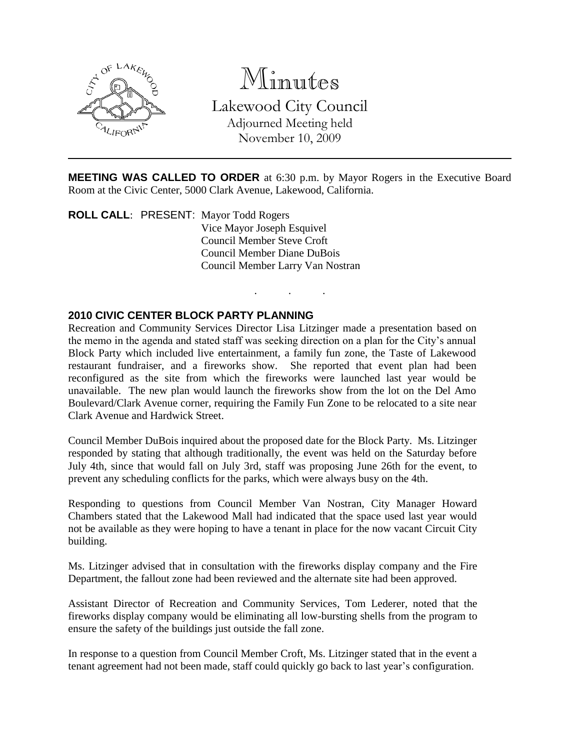

Minutes

Lakewood City Council Adjourned Meeting held November 10, 2009

**MEETING WAS CALLED TO ORDER** at 6:30 p.m. by Mayor Rogers in the Executive Board Room at the Civic Center, 5000 Clark Avenue, Lakewood, California.

. . .

**ROLL CALL**: PRESENT: Mayor Todd Rogers Vice Mayor Joseph Esquivel Council Member Steve Croft Council Member Diane DuBois Council Member Larry Van Nostran

### **2010 CIVIC CENTER BLOCK PARTY PLANNING**

Recreation and Community Services Director Lisa Litzinger made a presentation based on the memo in the agenda and stated staff was seeking direction on a plan for the City's annual Block Party which included live entertainment, a family fun zone, the Taste of Lakewood restaurant fundraiser, and a fireworks show. She reported that event plan had been reconfigured as the site from which the fireworks were launched last year would be unavailable. The new plan would launch the fireworks show from the lot on the Del Amo Boulevard/Clark Avenue corner, requiring the Family Fun Zone to be relocated to a site near Clark Avenue and Hardwick Street.

Council Member DuBois inquired about the proposed date for the Block Party. Ms. Litzinger responded by stating that although traditionally, the event was held on the Saturday before July 4th, since that would fall on July 3rd, staff was proposing June 26th for the event, to prevent any scheduling conflicts for the parks, which were always busy on the 4th.

Responding to questions from Council Member Van Nostran, City Manager Howard Chambers stated that the Lakewood Mall had indicated that the space used last year would not be available as they were hoping to have a tenant in place for the now vacant Circuit City building.

Ms. Litzinger advised that in consultation with the fireworks display company and the Fire Department, the fallout zone had been reviewed and the alternate site had been approved.

Assistant Director of Recreation and Community Services, Tom Lederer, noted that the fireworks display company would be eliminating all low-bursting shells from the program to ensure the safety of the buildings just outside the fall zone.

In response to a question from Council Member Croft, Ms. Litzinger stated that in the event a tenant agreement had not been made, staff could quickly go back to last year's configuration.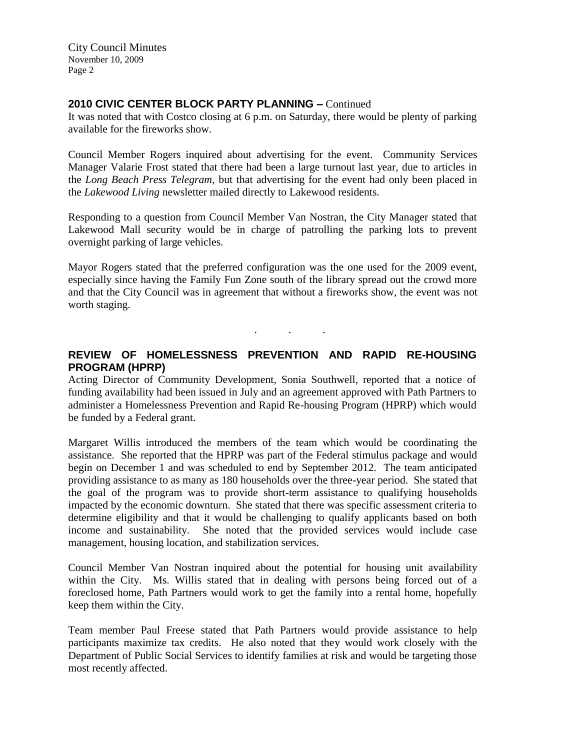City Council Minutes November 10, 2009 Page 2

### **2010 CIVIC CENTER BLOCK PARTY PLANNING –** Continued

It was noted that with Costco closing at 6 p.m. on Saturday, there would be plenty of parking available for the fireworks show.

Council Member Rogers inquired about advertising for the event. Community Services Manager Valarie Frost stated that there had been a large turnout last year, due to articles in the *Long Beach Press Telegram*, but that advertising for the event had only been placed in the *Lakewood Living* newsletter mailed directly to Lakewood residents.

Responding to a question from Council Member Van Nostran, the City Manager stated that Lakewood Mall security would be in charge of patrolling the parking lots to prevent overnight parking of large vehicles.

Mayor Rogers stated that the preferred configuration was the one used for the 2009 event, especially since having the Family Fun Zone south of the library spread out the crowd more and that the City Council was in agreement that without a fireworks show, the event was not worth staging.

# **REVIEW OF HOMELESSNESS PREVENTION AND RAPID RE-HOUSING PROGRAM (HPRP)**

. . .

Acting Director of Community Development, Sonia Southwell, reported that a notice of funding availability had been issued in July and an agreement approved with Path Partners to administer a Homelessness Prevention and Rapid Re-housing Program (HPRP) which would be funded by a Federal grant.

Margaret Willis introduced the members of the team which would be coordinating the assistance. She reported that the HPRP was part of the Federal stimulus package and would begin on December 1 and was scheduled to end by September 2012. The team anticipated providing assistance to as many as 180 households over the three-year period. She stated that the goal of the program was to provide short-term assistance to qualifying households impacted by the economic downturn. She stated that there was specific assessment criteria to determine eligibility and that it would be challenging to qualify applicants based on both income and sustainability. She noted that the provided services would include case management, housing location, and stabilization services.

Council Member Van Nostran inquired about the potential for housing unit availability within the City. Ms. Willis stated that in dealing with persons being forced out of a foreclosed home, Path Partners would work to get the family into a rental home, hopefully keep them within the City.

Team member Paul Freese stated that Path Partners would provide assistance to help participants maximize tax credits. He also noted that they would work closely with the Department of Public Social Services to identify families at risk and would be targeting those most recently affected.